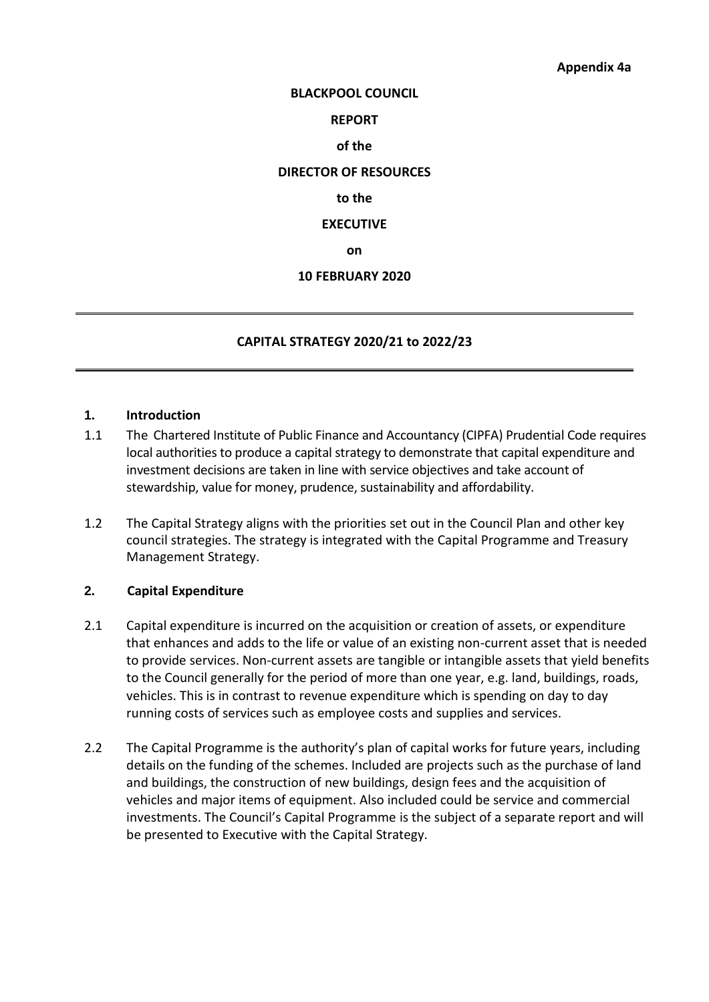#### **BLACKPOOL COUNCIL**

#### **REPORT**

#### **of the**

#### **DIRECTOR OF RESOURCES**

#### **to the**

#### **EXECUTIVE**

**on**

#### **10 FEBRUARY 2020**

### **CAPITAL STRATEGY 2020/21 to 2022/23**

## **1. Introduction**

- 1.1 The Chartered Institute of Public Finance and Accountancy (CIPFA) Prudential Code requires local authorities to produce a capital strategy to demonstrate that capital expenditure and investment decisions are taken in line with service objectives and take account of stewardship, value for money, prudence, sustainability and affordability.
- 1.2 The Capital Strategy aligns with the priorities set out in the Council Plan and other key council strategies. The strategy is integrated with the Capital Programme and Treasury Management Strategy.

### **2. Capital Expenditure**

- 2.1 Capital expenditure is incurred on the acquisition or creation of assets, or expenditure that enhances and adds to the life or value of an existing non-current asset that is needed to provide services. Non-current assets are tangible or intangible assets that yield benefits to the Council generally for the period of more than one year, e.g. land, buildings, roads, vehicles. This is in contrast to revenue expenditure which is spending on day to day running costs of services such as employee costs and supplies and services.
- 2.2 The Capital Programme is the authority's plan of capital works for future years, including details on the funding of the schemes. Included are projects such as the purchase of land and buildings, the construction of new buildings, design fees and the acquisition of vehicles and major items of equipment. Also included could be service and commercial investments. The Council's Capital Programme is the subject of a separate report and will be presented to Executive with the Capital Strategy.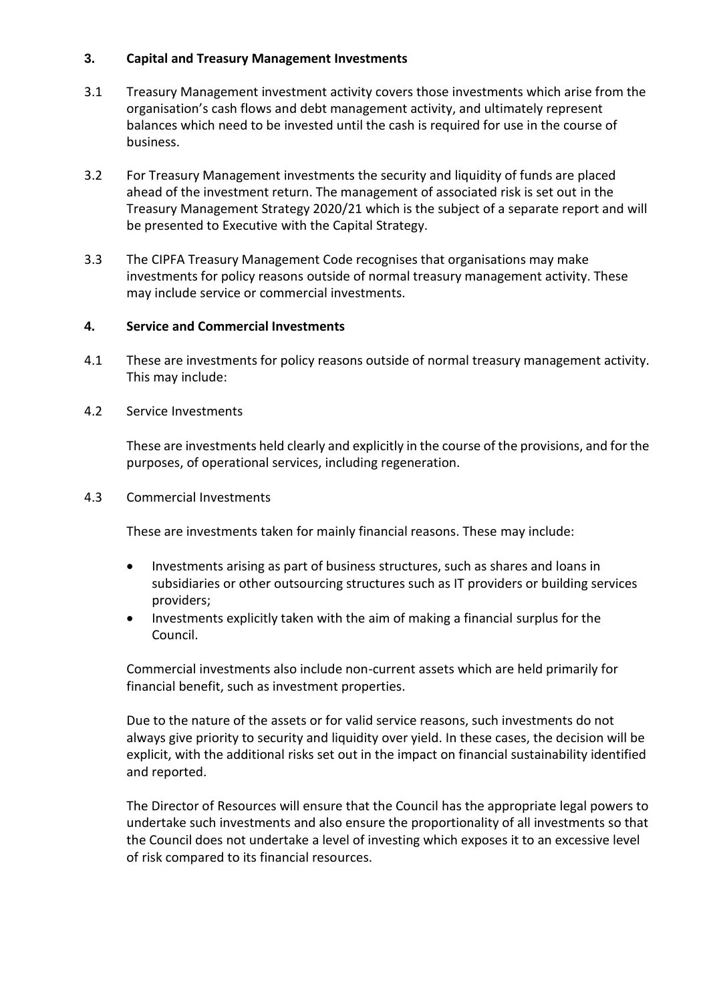## **3. Capital and Treasury Management Investments**

- 3.1 Treasury Management investment activity covers those investments which arise from the organisation's cash flows and debt management activity, and ultimately represent balances which need to be invested until the cash is required for use in the course of business.
- 3.2 For Treasury Management investments the security and liquidity of funds are placed ahead of the investment return. The management of associated risk is set out in the Treasury Management Strategy 2020/21 which is the subject of a separate report and will be presented to Executive with the Capital Strategy.
- 3.3 The CIPFA Treasury Management Code recognises that organisations may make investments for policy reasons outside of normal treasury management activity. These may include service or commercial investments.

## **4. Service and Commercial Investments**

- 4.1 These are investments for policy reasons outside of normal treasury management activity. This may include:
- 4.2 Service Investments

These are investments held clearly and explicitly in the course of the provisions, and for the purposes, of operational services, including regeneration.

4.3 Commercial Investments

These are investments taken for mainly financial reasons. These may include:

- Investments arising as part of business structures, such as shares and loans in subsidiaries or other outsourcing structures such as IT providers or building services providers;
- Investments explicitly taken with the aim of making a financial surplus for the Council.

Commercial investments also include non-current assets which are held primarily for financial benefit, such as investment properties.

Due to the nature of the assets or for valid service reasons, such investments do not always give priority to security and liquidity over yield. In these cases, the decision will be explicit, with the additional risks set out in the impact on financial sustainability identified and reported.

The Director of Resources will ensure that the Council has the appropriate legal powers to undertake such investments and also ensure the proportionality of all investments so that the Council does not undertake a level of investing which exposes it to an excessive level of risk compared to its financial resources.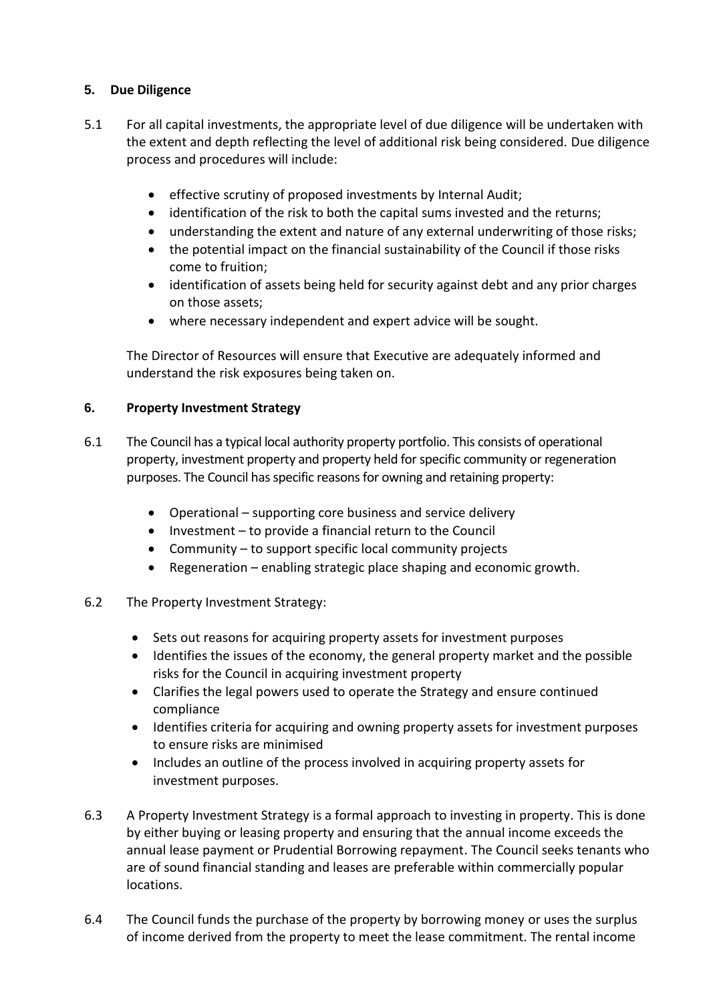# **5. Due Diligence**

- 5.1 For all capital investments, the appropriate level of due diligence will be undertaken with the extent and depth reflecting the level of additional risk being considered. Due diligence process and procedures will include:
	- effective scrutiny of proposed investments by Internal Audit;
	- identification of the risk to both the capital sums invested and the returns;
	- understanding the extent and nature of any external underwriting of those risks;
	- the potential impact on the financial sustainability of the Council if those risks come to fruition;
	- identification of assets being held for security against debt and any prior charges on those assets;
	- where necessary independent and expert advice will be sought.

The Director of Resources will ensure that Executive are adequately informed and understand the risk exposures being taken on.

## **6. Property Investment Strategy**

- 6.1 The Council has a typical local authority property portfolio. This consists of operational property, investment property and property held for specific community or regeneration purposes. The Council has specific reasons for owning and retaining property:
	- Operational supporting core business and service delivery
	- $\bullet$  Investment to provide a financial return to the Council
	- Community to support specific local community projects
	- Regeneration enabling strategic place shaping and economic growth.
- 6.2 The Property Investment Strategy:
	- Sets out reasons for acquiring property assets for investment purposes
	- Identifies the issues of the economy, the general property market and the possible risks for the Council in acquiring investment property
	- Clarifies the legal powers used to operate the Strategy and ensure continued compliance
	- Identifies criteria for acquiring and owning property assets for investment purposes to ensure risks are minimised
	- Includes an outline of the process involved in acquiring property assets for investment purposes.
- 6.3 A Property Investment Strategy is a formal approach to investing in property. This is done by either buying or leasing property and ensuring that the annual income exceeds the annual lease payment or Prudential Borrowing repayment. The Council seeks tenants who are of sound financial standing and leases are preferable within commercially popular locations.
- 6.4 The Council funds the purchase of the property by borrowing money or uses the surplus of income derived from the property to meet the lease commitment. The rental income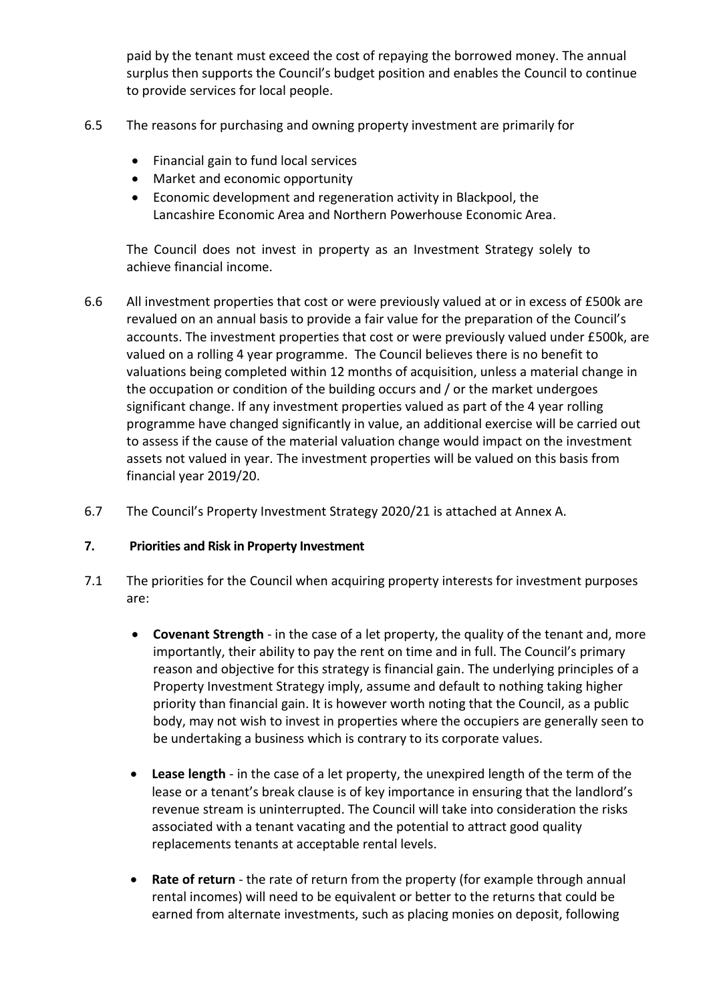paid by the tenant must exceed the cost of repaying the borrowed money. The annual surplus then supports the Council's budget position and enables the Council to continue to provide services for local people.

- 6.5 The reasons for purchasing and owning property investment are primarily for
	- Financial gain to fund local services
	- Market and economic opportunity
	- Economic development and regeneration activity in Blackpool, the Lancashire Economic Area and Northern Powerhouse Economic Area.

The Council does not invest in property as an Investment Strategy solely to achieve financial income.

- 6.6 All investment properties that cost or were previously valued at or in excess of £500k are revalued on an annual basis to provide a fair value for the preparation of the Council's accounts. The investment properties that cost or were previously valued under £500k, are valued on a rolling 4 year programme. The Council believes there is no benefit to valuations being completed within 12 months of acquisition, unless a material change in the occupation or condition of the building occurs and / or the market undergoes significant change. If any investment properties valued as part of the 4 year rolling programme have changed significantly in value, an additional exercise will be carried out to assess if the cause of the material valuation change would impact on the investment assets not valued in year. The investment properties will be valued on this basis from financial year 2019/20.
- 6.7 The Council's Property Investment Strategy 2020/21 is attached at Annex A.

## **7. Priorities and Risk in Property Investment**

- 7.1 The priorities for the Council when acquiring property interests for investment purposes are:
	- **Covenant Strength** in the case of a let property, the quality of the tenant and, more importantly, their ability to pay the rent on time and in full. The Council's primary reason and objective for this strategy is financial gain. The underlying principles of a Property Investment Strategy imply, assume and default to nothing taking higher priority than financial gain. It is however worth noting that the Council, as a public body, may not wish to invest in properties where the occupiers are generally seen to be undertaking a business which is contrary to its corporate values.
	- **Lease length** in the case of a let property, the unexpired length of the term of the lease or a tenant's break clause is of key importance in ensuring that the landlord's revenue stream is uninterrupted. The Council will take into consideration the risks associated with a tenant vacating and the potential to attract good quality replacements tenants at acceptable rental levels.
	- **Rate of return** the rate of return from the property (for example through annual rental incomes) will need to be equivalent or better to the returns that could be earned from alternate investments, such as placing monies on deposit, following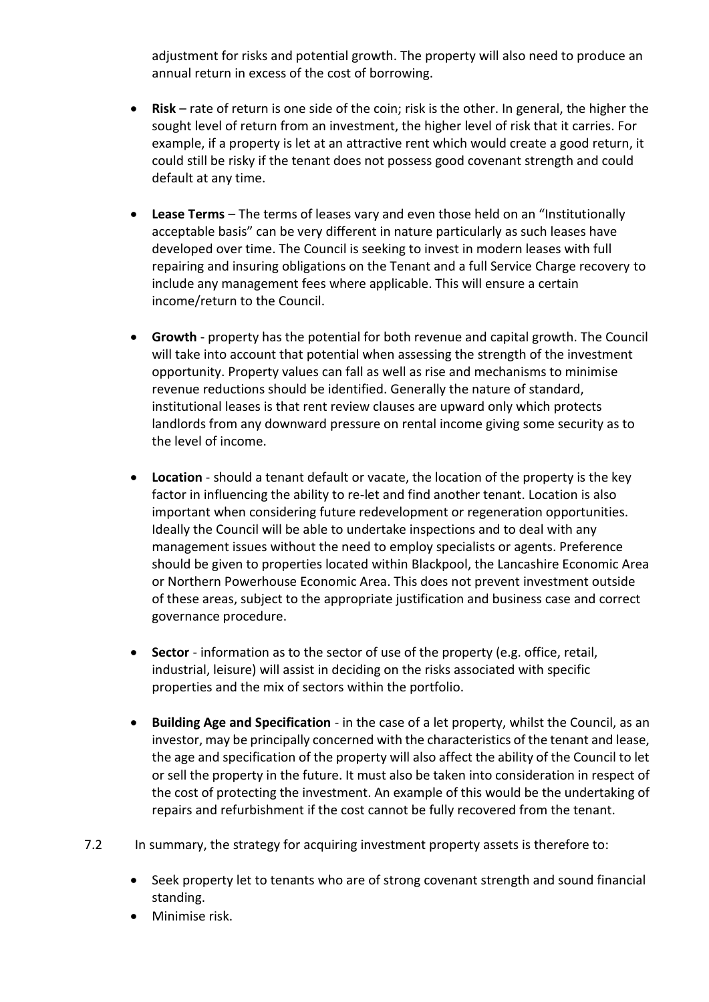adjustment for risks and potential growth. The property will also need to produce an annual return in excess of the cost of borrowing.

- **Risk** rate of return is one side of the coin; risk is the other. In general, the higher the sought level of return from an investment, the higher level of risk that it carries. For example, if a property is let at an attractive rent which would create a good return, it could still be risky if the tenant does not possess good covenant strength and could default at any time.
- **Lease Terms** The terms of leases vary and even those held on an "Institutionally acceptable basis" can be very different in nature particularly as such leases have developed over time. The Council is seeking to invest in modern leases with full repairing and insuring obligations on the Tenant and a full Service Charge recovery to include any management fees where applicable. This will ensure a certain income/return to the Council.
- **Growth** property has the potential for both revenue and capital growth. The Council will take into account that potential when assessing the strength of the investment opportunity. Property values can fall as well as rise and mechanisms to minimise revenue reductions should be identified. Generally the nature of standard, institutional leases is that rent review clauses are upward only which protects landlords from any downward pressure on rental income giving some security as to the level of income.
- **Location** should a tenant default or vacate, the location of the property is the key factor in influencing the ability to re-let and find another tenant. Location is also important when considering future redevelopment or regeneration opportunities. Ideally the Council will be able to undertake inspections and to deal with any management issues without the need to employ specialists or agents. Preference should be given to properties located within Blackpool, the Lancashire Economic Area or Northern Powerhouse Economic Area. This does not prevent investment outside of these areas, subject to the appropriate justification and business case and correct governance procedure.
- **Sector** information as to the sector of use of the property (e.g. office, retail, industrial, leisure) will assist in deciding on the risks associated with specific properties and the mix of sectors within the portfolio.
- **Building Age and Specification** in the case of a let property, whilst the Council, as an investor, may be principally concerned with the characteristics of the tenant and lease, the age and specification of the property will also affect the ability of the Council to let or sell the property in the future. It must also be taken into consideration in respect of the cost of protecting the investment. An example of this would be the undertaking of repairs and refurbishment if the cost cannot be fully recovered from the tenant.
- 7.2 In summary, the strategy for acquiring investment property assets is therefore to:
	- Seek property let to tenants who are of strong covenant strength and sound financial standing.
	- Minimise risk.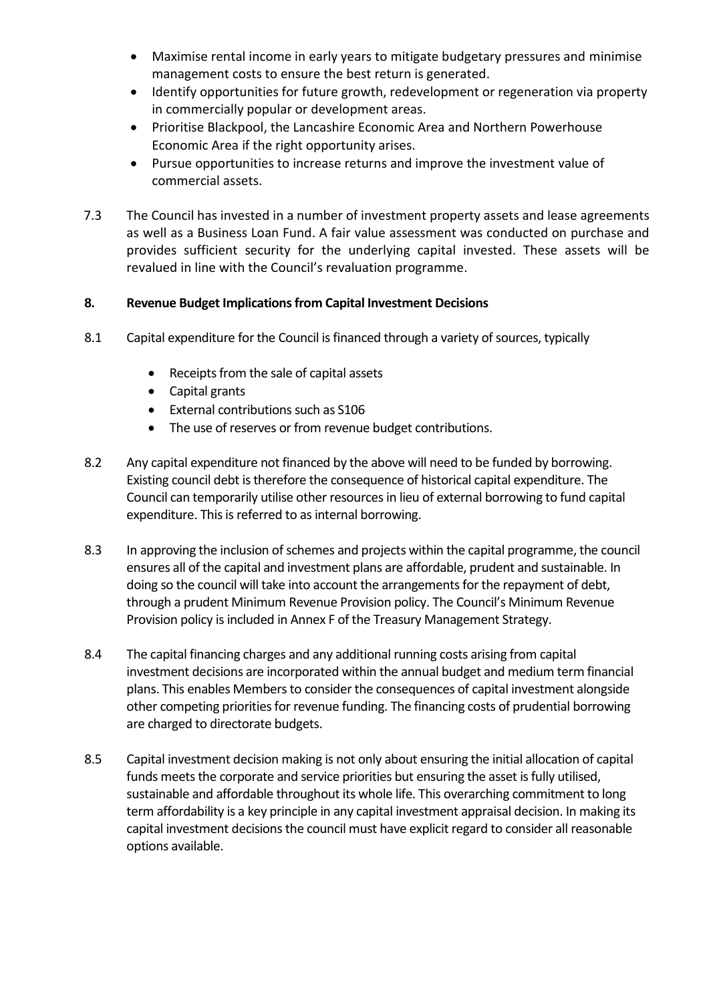- Maximise rental income in early years to mitigate budgetary pressures and minimise management costs to ensure the best return is generated.
- Identify opportunities for future growth, redevelopment or regeneration via property in commercially popular or development areas.
- Prioritise Blackpool, the Lancashire Economic Area and Northern Powerhouse Economic Area if the right opportunity arises.
- Pursue opportunities to increase returns and improve the investment value of commercial assets.
- 7.3 The Council has invested in a number of investment property assets and lease agreements as well as a Business Loan Fund. A fair value assessment was conducted on purchase and provides sufficient security for the underlying capital invested. These assets will be revalued in line with the Council's revaluation programme.

## **8. Revenue Budget Implications from Capital Investment Decisions**

- 8.1 Capital expenditure for the Council is financed through a variety of sources, typically
	- Receipts from the sale of capital assets
	- Capital grants
	- External contributions such as S106
	- The use of reserves or from revenue budget contributions.
- 8.2 Any capital expenditure not financed by the above will need to be funded by borrowing. Existing council debt is therefore the consequence of historical capital expenditure. The Council can temporarily utilise other resourcesin lieu of external borrowing to fund capital expenditure. This is referred to as internal borrowing.
- 8.3 In approving the inclusion of schemes and projects within the capital programme, the council ensures all of the capital and investment plans are affordable, prudent and sustainable. In doing so the council will take into account the arrangements for the repayment of debt, through a prudent Minimum Revenue Provision policy. The Council's Minimum Revenue Provision policy is included in Annex F of the Treasury Management Strategy.
- 8.4 The capital financing charges and any additional running costs arising from capital investment decisions are incorporated within the annual budget and medium term financial plans. This enables Members to consider the consequences of capital investment alongside other competing priorities for revenue funding. The financing costs of prudential borrowing are charged to directorate budgets.
- 8.5 Capital investment decision making is not only about ensuring the initial allocation of capital funds meets the corporate and service priorities but ensuring the asset is fully utilised, sustainable and affordable throughout its whole life. This overarching commitment to long term affordability is a key principle in any capital investment appraisal decision. In making its capital investment decisions the council must have explicit regard to consider all reasonable options available.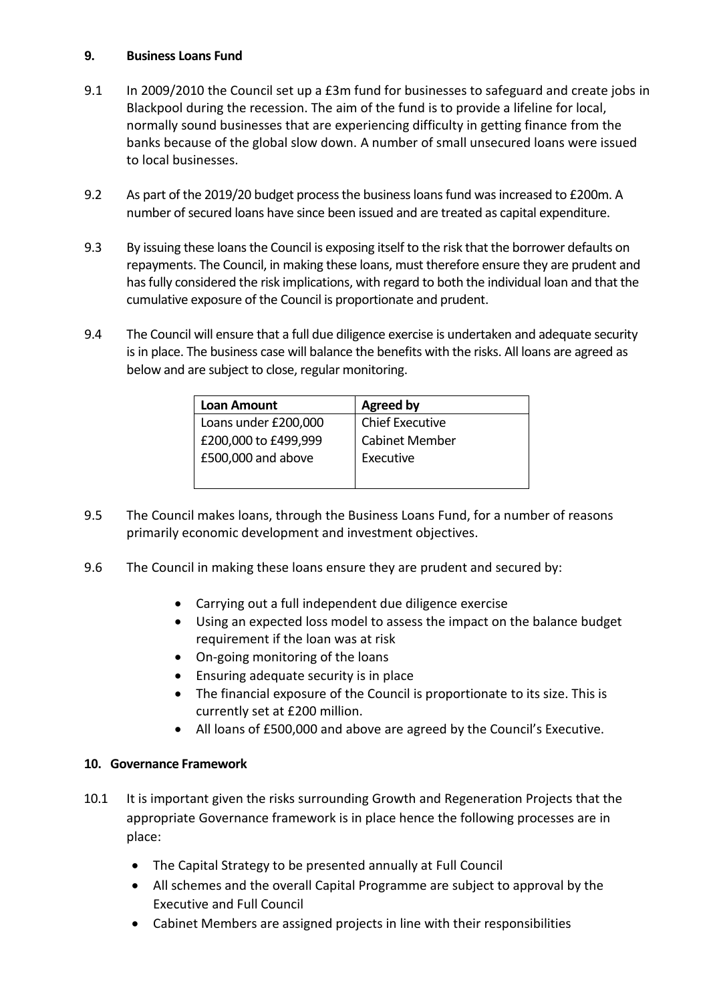## **9. Business Loans Fund**

- 9.1 In 2009/2010 the Council set up a £3m fund for businesses to safeguard and create jobs in Blackpool during the recession. The aim of the fund is to provide a lifeline for local, normally sound businesses that are experiencing difficulty in getting finance from the banks because of the global slow down. A number of small unsecured loans were issued to local businesses.
- 9.2 As part of the 2019/20 budget process the business loans fund was increased to £200m. A number of secured loans have since been issued and are treated as capital expenditure.
- 9.3 By issuing these loans the Council is exposing itself to the risk that the borrower defaults on repayments. The Council, in making these loans, must therefore ensure they are prudent and has fully considered the risk implications, with regard to both the individual loan and that the cumulative exposure of the Council is proportionate and prudent.
- 9.4 The Council will ensure that a full due diligence exercise is undertaken and adequate security is in place. The business case will balance the benefits with the risks. All loans are agreed as below and are subject to close, regular monitoring.

| <b>Loan Amount</b>   | <b>Agreed by</b>       |
|----------------------|------------------------|
| Loans under £200,000 | <b>Chief Executive</b> |
| £200,000 to £499,999 | <b>Cabinet Member</b>  |
| £500,000 and above   | Executive              |
|                      |                        |

- 9.5 The Council makes loans, through the Business Loans Fund, for a number of reasons primarily economic development and investment objectives.
- 9.6 The Council in making these loans ensure they are prudent and secured by:
	- Carrying out a full independent due diligence exercise
	- Using an expected loss model to assess the impact on the balance budget requirement if the loan was at risk
	- On-going monitoring of the loans
	- Ensuring adequate security is in place
	- The financial exposure of the Council is proportionate to its size. This is currently set at £200 million.
	- All loans of £500,000 and above are agreed by the Council's Executive.

## **10. Governance Framework**

- 10.1 It is important given the risks surrounding Growth and Regeneration Projects that the appropriate Governance framework is in place hence the following processes are in place:
	- The Capital Strategy to be presented annually at Full Council
	- All schemes and the overall Capital Programme are subject to approval by the Executive and Full Council
	- Cabinet Members are assigned projects in line with their responsibilities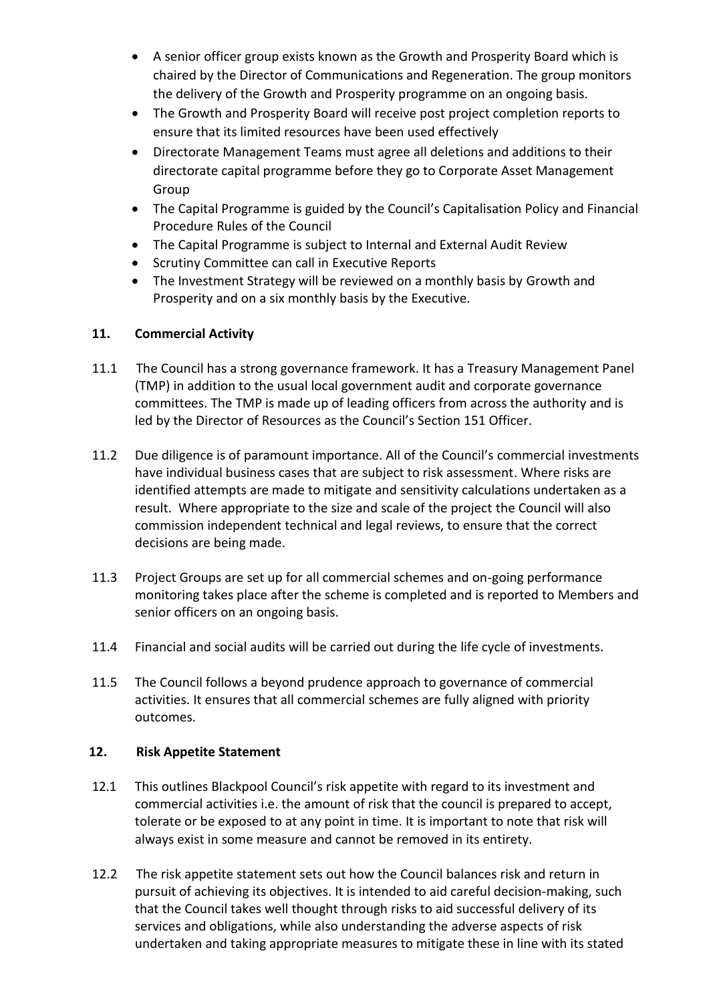- A senior officer group exists known as the Growth and Prosperity Board which is chaired by the Director of Communications and Regeneration. The group monitors the delivery of the Growth and Prosperity programme on an ongoing basis.
- The Growth and Prosperity Board will receive post project completion reports to ensure that its limited resources have been used effectively
- Directorate Management Teams must agree all deletions and additions to their directorate capital programme before they go to Corporate Asset Management Group
- The Capital Programme is guided by the Council's Capitalisation Policy and Financial Procedure Rules of the Council
- The Capital Programme is subject to Internal and External Audit Review
- Scrutiny Committee can call in Executive Reports
- The Investment Strategy will be reviewed on a monthly basis by Growth and Prosperity and on a six monthly basis by the Executive.

# **11. Commercial Activity**

- 11.1 The Council has a strong governance framework. It has a Treasury Management Panel (TMP) in addition to the usual local government audit and corporate governance committees. The TMP is made up of leading officers from across the authority and is led by the Director of Resources as the Council's Section 151 Officer.
- 11.2 Due diligence is of paramount importance. All of the Council's commercial investments have individual business cases that are subject to risk assessment. Where risks are identified attempts are made to mitigate and sensitivity calculations undertaken as a result. Where appropriate to the size and scale of the project the Council will also commission independent technical and legal reviews, to ensure that the correct decisions are being made.
- 11.3 Project Groups are set up for all commercial schemes and on-going performance monitoring takes place after the scheme is completed and is reported to Members and senior officers on an ongoing basis.
- 11.4 Financial and social audits will be carried out during the life cycle of investments.
- 11.5 The Council follows a beyond prudence approach to governance of commercial activities. It ensures that all commercial schemes are fully aligned with priority outcomes.

## **12. Risk Appetite Statement**

- 12.1 This outlines Blackpool Council's risk appetite with regard to its investment and commercial activities i.e. the amount of risk that the council is prepared to accept, tolerate or be exposed to at any point in time. It is important to note that risk will always exist in some measure and cannot be removed in its entirety.
- 12.2 The risk appetite statement sets out how the Council balances risk and return in pursuit of achieving its objectives. It is intended to aid careful decision-making, such that the Council takes well thought through risks to aid successful delivery of its services and obligations, while also understanding the adverse aspects of risk undertaken and taking appropriate measures to mitigate these in line with its stated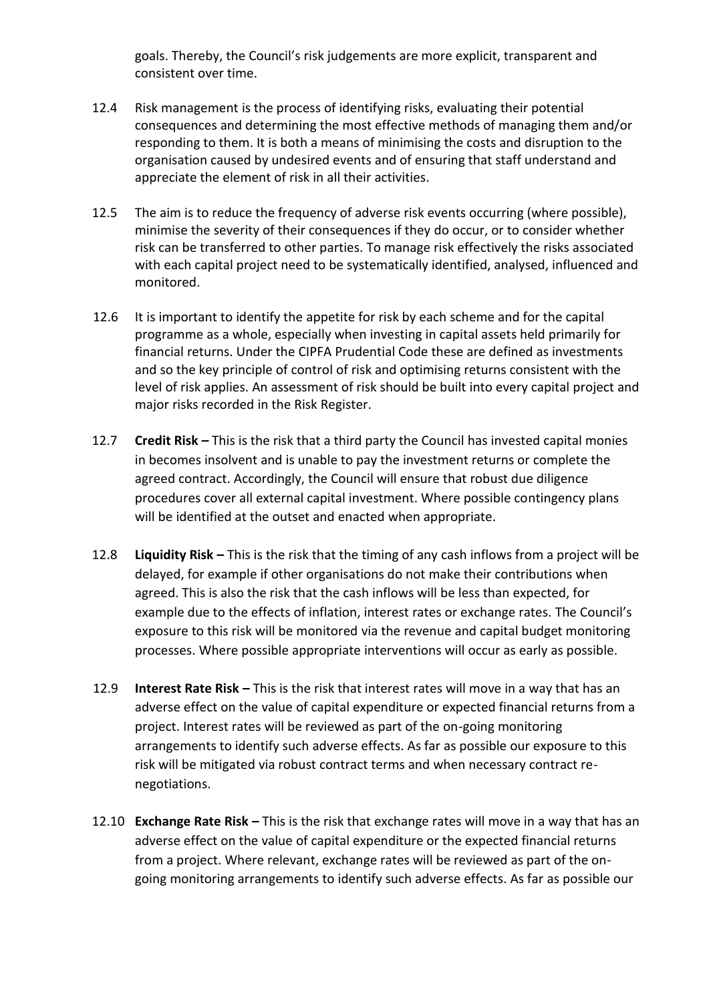goals. Thereby, the Council's risk judgements are more explicit, transparent and consistent over time.

- 12.4 Risk management is the process of identifying risks, evaluating their potential consequences and determining the most effective methods of managing them and/or responding to them. It is both a means of minimising the costs and disruption to the organisation caused by undesired events and of ensuring that staff understand and appreciate the element of risk in all their activities.
- 12.5 The aim is to reduce the frequency of adverse risk events occurring (where possible), minimise the severity of their consequences if they do occur, or to consider whether risk can be transferred to other parties. To manage risk effectively the risks associated with each capital project need to be systematically identified, analysed, influenced and monitored.
- 12.6 It is important to identify the appetite for risk by each scheme and for the capital programme as a whole, especially when investing in capital assets held primarily for financial returns. Under the CIPFA Prudential Code these are defined as investments and so the key principle of control of risk and optimising returns consistent with the level of risk applies. An assessment of risk should be built into every capital project and major risks recorded in the Risk Register.
- 12.7 **Credit Risk –** This is the risk that a third party the Council has invested capital monies in becomes insolvent and is unable to pay the investment returns or complete the agreed contract. Accordingly, the Council will ensure that robust due diligence procedures cover all external capital investment. Where possible contingency plans will be identified at the outset and enacted when appropriate.
- 12.8 **Liquidity Risk –** This is the risk that the timing of any cash inflows from a project will be delayed, for example if other organisations do not make their contributions when agreed. This is also the risk that the cash inflows will be less than expected, for example due to the effects of inflation, interest rates or exchange rates. The Council's exposure to this risk will be monitored via the revenue and capital budget monitoring processes. Where possible appropriate interventions will occur as early as possible.
- 12.9 **Interest Rate Risk –** This is the risk that interest rates will move in a way that has an adverse effect on the value of capital expenditure or expected financial returns from a project. Interest rates will be reviewed as part of the on-going monitoring arrangements to identify such adverse effects. As far as possible our exposure to this risk will be mitigated via robust contract terms and when necessary contract renegotiations.
- 12.10 **Exchange Rate Risk –** This is the risk that exchange rates will move in a way that has an adverse effect on the value of capital expenditure or the expected financial returns from a project. Where relevant, exchange rates will be reviewed as part of the ongoing monitoring arrangements to identify such adverse effects. As far as possible our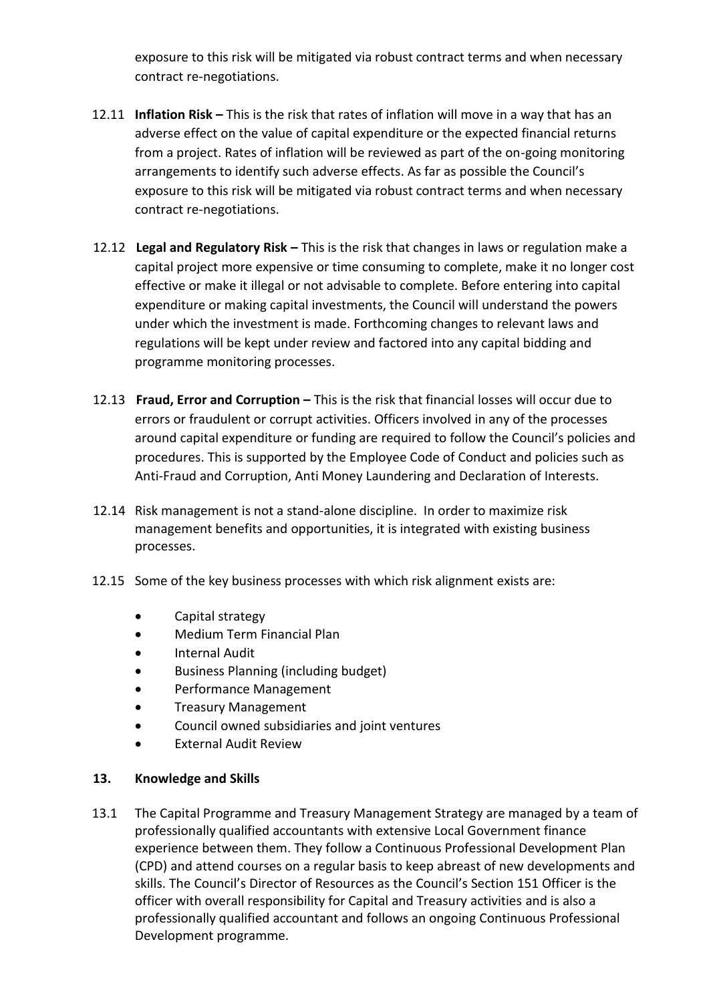exposure to this risk will be mitigated via robust contract terms and when necessary contract re-negotiations.

- 12.11 **Inflation Risk –** This is the risk that rates of inflation will move in a way that has an adverse effect on the value of capital expenditure or the expected financial returns from a project. Rates of inflation will be reviewed as part of the on-going monitoring arrangements to identify such adverse effects. As far as possible the Council's exposure to this risk will be mitigated via robust contract terms and when necessary contract re-negotiations.
- 12.12 **Legal and Regulatory Risk –** This is the risk that changes in laws or regulation make a capital project more expensive or time consuming to complete, make it no longer cost effective or make it illegal or not advisable to complete. Before entering into capital expenditure or making capital investments, the Council will understand the powers under which the investment is made. Forthcoming changes to relevant laws and regulations will be kept under review and factored into any capital bidding and programme monitoring processes.
- 12.13 **Fraud, Error and Corruption –** This is the risk that financial losses will occur due to errors or fraudulent or corrupt activities. Officers involved in any of the processes around capital expenditure or funding are required to follow the Council's policies and procedures. This is supported by the Employee Code of Conduct and policies such as Anti-Fraud and Corruption, Anti Money Laundering and Declaration of Interests.
- 12.14 Risk management is not a stand-alone discipline. In order to maximize risk management benefits and opportunities, it is integrated with existing business processes.
- 12.15 Some of the key business processes with which risk alignment exists are:
	- Capital strategy
	- Medium Term Financial Plan
	- Internal Audit
	- Business Planning (including budget)
	- Performance Management
	- Treasury Management
	- Council owned subsidiaries and joint ventures
	- External Audit Review

### **13. Knowledge and Skills**

13.1 The Capital Programme and Treasury Management Strategy are managed by a team of professionally qualified accountants with extensive Local Government finance experience between them. They follow a Continuous Professional Development Plan (CPD) and attend courses on a regular basis to keep abreast of new developments and skills. The Council's Director of Resources as the Council's Section 151 Officer is the officer with overall responsibility for Capital and Treasury activities and is also a professionally qualified accountant and follows an ongoing Continuous Professional Development programme.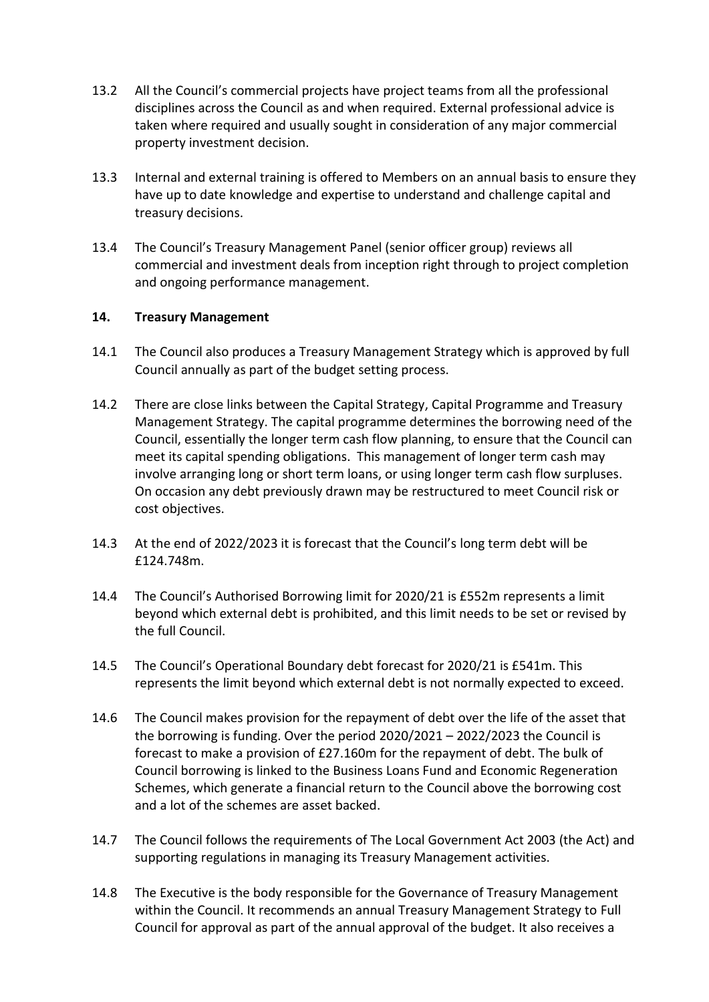- 13.2 All the Council's commercial projects have project teams from all the professional disciplines across the Council as and when required. External professional advice is taken where required and usually sought in consideration of any major commercial property investment decision.
- 13.3 Internal and external training is offered to Members on an annual basis to ensure they have up to date knowledge and expertise to understand and challenge capital and treasury decisions.
- 13.4 The Council's Treasury Management Panel (senior officer group) reviews all commercial and investment deals from inception right through to project completion and ongoing performance management.

## **14. Treasury Management**

- 14.1 The Council also produces a Treasury Management Strategy which is approved by full Council annually as part of the budget setting process.
- 14.2 There are close links between the Capital Strategy, Capital Programme and Treasury Management Strategy. The capital programme determines the borrowing need of the Council, essentially the longer term cash flow planning, to ensure that the Council can meet its capital spending obligations. This management of longer term cash may involve arranging long or short term loans, or using longer term cash flow surpluses. On occasion any debt previously drawn may be restructured to meet Council risk or cost objectives.
- 14.3 At the end of 2022/2023 it is forecast that the Council's long term debt will be £124.748m.
- 14.4 The Council's Authorised Borrowing limit for 2020/21 is £552m represents a limit beyond which external debt is prohibited, and this limit needs to be set or revised by the full Council.
- 14.5 The Council's Operational Boundary debt forecast for 2020/21 is £541m. This represents the limit beyond which external debt is not normally expected to exceed.
- 14.6 The Council makes provision for the repayment of debt over the life of the asset that the borrowing is funding. Over the period 2020/2021 – 2022/2023 the Council is forecast to make a provision of £27.160m for the repayment of debt. The bulk of Council borrowing is linked to the Business Loans Fund and Economic Regeneration Schemes, which generate a financial return to the Council above the borrowing cost and a lot of the schemes are asset backed.
- 14.7 The Council follows the requirements of The Local Government Act 2003 (the Act) and supporting regulations in managing its Treasury Management activities.
- 14.8 The Executive is the body responsible for the Governance of Treasury Management within the Council. It recommends an annual Treasury Management Strategy to Full Council for approval as part of the annual approval of the budget. It also receives a